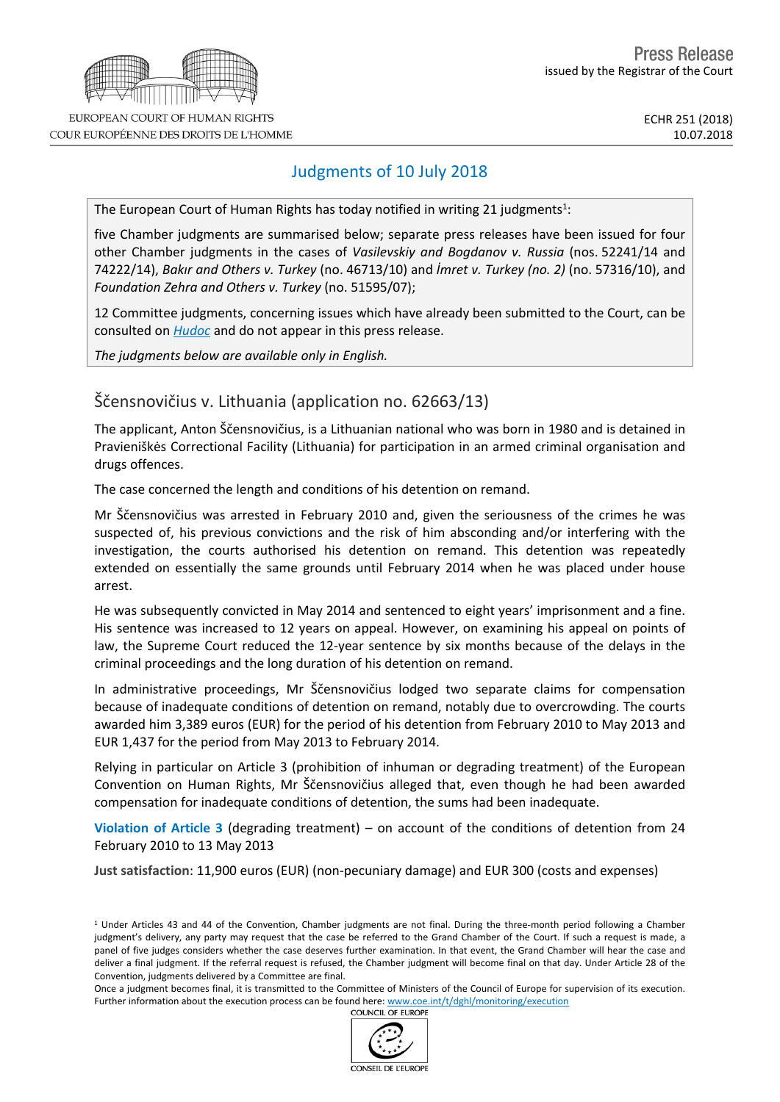

COUR EUROPÉENNE DES DROITS DE L'HOMME

## Judgments of 10 July 2018

The European Court of Human Rights has today notified in writing 21 judgments<sup>1</sup>:

five Chamber judgments are summarised below; separate press releases have been issued for four other Chamber judgments in the cases of *Vasilevskiy and Bogdanov v. Russia* (nos. 52241/14 and 74222/14), *Bakır and Others v. Turkey* (no. 46713/10) and *İmret v. Turkey (no. 2)* (no. 57316/10), and *Foundation Zehra and Others v. Turkey* (no. 51595/07);

12 Committee judgments, concerning issues which have already been submitted to the Court, can be consulted on *[Hudoc](http://hudoc.echr.coe.int/sites/eng/Pages/search.aspx#%7B)* and do not appear in this press release.

*The judgments below are available only in English.*

# Ščensnovičius v. Lithuania (application no. 62663/13)

The applicant, Anton Ščensnovičius, is a Lithuanian national who was born in 1980 and is detained in Pravieniškės Correctional Facility (Lithuania) for participation in an armed criminal organisation and drugs offences.

The case concerned the length and conditions of his detention on remand.

Mr Ščensnovičius was arrested in February 2010 and, given the seriousness of the crimes he was suspected of, his previous convictions and the risk of him absconding and/or interfering with the investigation, the courts authorised his detention on remand. This detention was repeatedly extended on essentially the same grounds until February 2014 when he was placed under house arrest.

He was subsequently convicted in May 2014 and sentenced to eight years' imprisonment and a fine. His sentence was increased to 12 years on appeal. However, on examining his appeal on points of law, the Supreme Court reduced the 12-year sentence by six months because of the delays in the criminal proceedings and the long duration of his detention on remand.

In administrative proceedings, Mr Ščensnovičius lodged two separate claims for compensation because of inadequate conditions of detention on remand, notably due to overcrowding. The courts awarded him 3,389 euros (EUR) for the period of his detention from February 2010 to May 2013 and EUR 1,437 for the period from May 2013 to February 2014.

Relying in particular on Article 3 (prohibition of inhuman or degrading treatment) of the European Convention on Human Rights, Mr Ščensnovičius alleged that, even though he had been awarded compensation for inadequate conditions of detention, the sums had been inadequate.

**Violation of Article 3** (degrading treatment) – on account of the conditions of detention from 24 February 2010 to 13 May 2013

**Just satisfaction**: 11,900 euros (EUR) (non-pecuniary damage) and EUR 300 (costs and expenses)

Once a judgment becomes final, it is transmitted to the Committee of Ministers of the Council of Europe for supervision of its execution. Further information about the execution process can be found here: [www.coe.int/t/dghl/monitoring/execution](http://www.coe.int/t/dghl/monitoring/execution#_blank)<br>COUNCIL OF EUROPE



<sup>1</sup> Under Articles 43 and 44 of the Convention, Chamber judgments are not final. During the three-month period following a Chamber judgment's delivery, any party may request that the case be referred to the Grand Chamber of the Court. If such a request is made, a panel of five judges considers whether the case deserves further examination. In that event, the Grand Chamber will hear the case and deliver a final judgment. If the referral request is refused, the Chamber judgment will become final on that day. Under Article 28 of the Convention, judgments delivered by a Committee are final.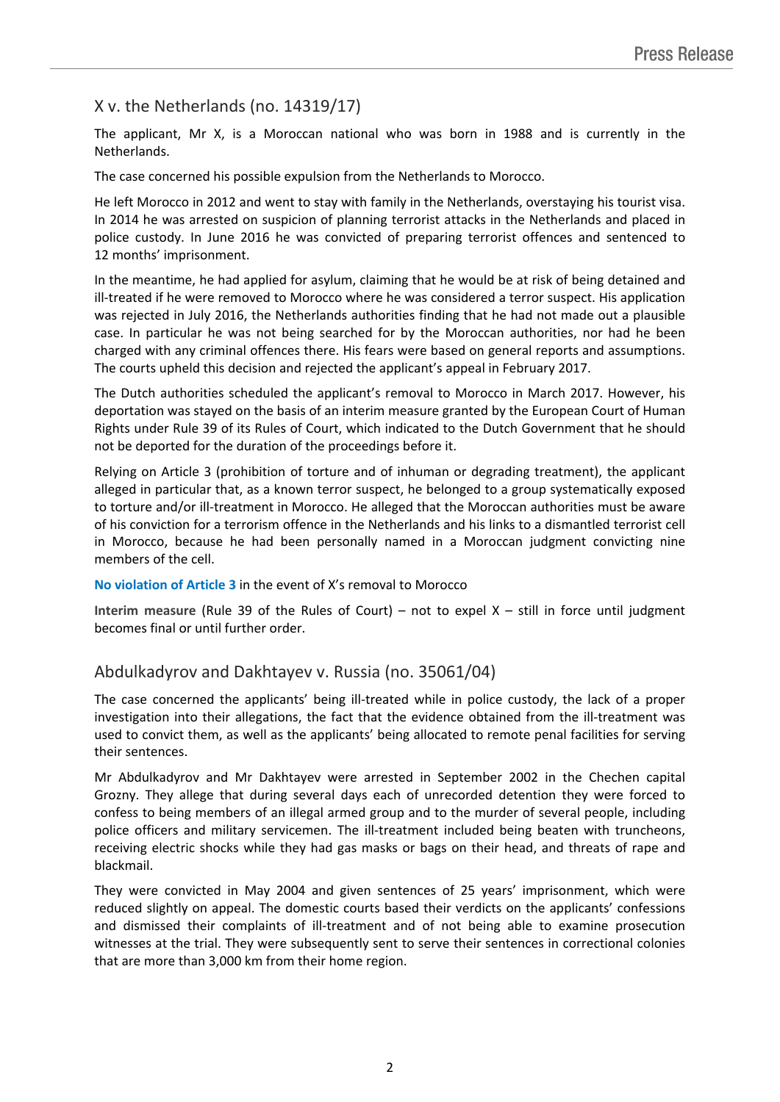## X v. the Netherlands (no. 14319/17)

The applicant, Mr X, is a Moroccan national who was born in 1988 and is currently in the Netherlands.

The case concerned his possible expulsion from the Netherlands to Morocco.

He left Morocco in 2012 and went to stay with family in the Netherlands, overstaying his tourist visa. In 2014 he was arrested on suspicion of planning terrorist attacks in the Netherlands and placed in police custody. In June 2016 he was convicted of preparing terrorist offences and sentenced to 12 months' imprisonment.

In the meantime, he had applied for asylum, claiming that he would be at risk of being detained and ill-treated if he were removed to Morocco where he was considered a terror suspect. His application was rejected in July 2016, the Netherlands authorities finding that he had not made out a plausible case. In particular he was not being searched for by the Moroccan authorities, nor had he been charged with any criminal offences there. His fears were based on general reports and assumptions. The courts upheld this decision and rejected the applicant's appeal in February 2017.

The Dutch authorities scheduled the applicant's removal to Morocco in March 2017. However, his deportation was stayed on the basis of an interim measure granted by the European Court of Human Rights under Rule 39 of its Rules of Court, which indicated to the Dutch Government that he should not be deported for the duration of the proceedings before it.

Relying on Article 3 (prohibition of torture and of inhuman or degrading treatment), the applicant alleged in particular that, as a known terror suspect, he belonged to a group systematically exposed to torture and/or ill-treatment in Morocco. He alleged that the Moroccan authorities must be aware of his conviction for a terrorism offence in the Netherlands and his links to a dismantled terrorist cell in Morocco, because he had been personally named in a Moroccan judgment convicting nine members of the cell.

**No violation of Article 3** in the event of X's removal to Morocco

**Interim measure** (Rule 39 of the Rules of Court) – not to expel X – still in force until judgment becomes final or until further order.

### Abdulkadyrov and Dakhtayev v. Russia (no. 35061/04)

The case concerned the applicants' being ill-treated while in police custody, the lack of a proper investigation into their allegations, the fact that the evidence obtained from the ill-treatment was used to convict them, as well as the applicants' being allocated to remote penal facilities for serving their sentences.

Mr Abdulkadyrov and Mr Dakhtayev were arrested in September 2002 in the Chechen capital Grozny. They allege that during several days each of unrecorded detention they were forced to confess to being members of an illegal armed group and to the murder of several people, including police officers and military servicemen. The ill-treatment included being beaten with truncheons, receiving electric shocks while they had gas masks or bags on their head, and threats of rape and blackmail.

They were convicted in May 2004 and given sentences of 25 years' imprisonment, which were reduced slightly on appeal. The domestic courts based their verdicts on the applicants' confessions and dismissed their complaints of ill-treatment and of not being able to examine prosecution witnesses at the trial. They were subsequently sent to serve their sentences in correctional colonies that are more than 3,000 km from their home region.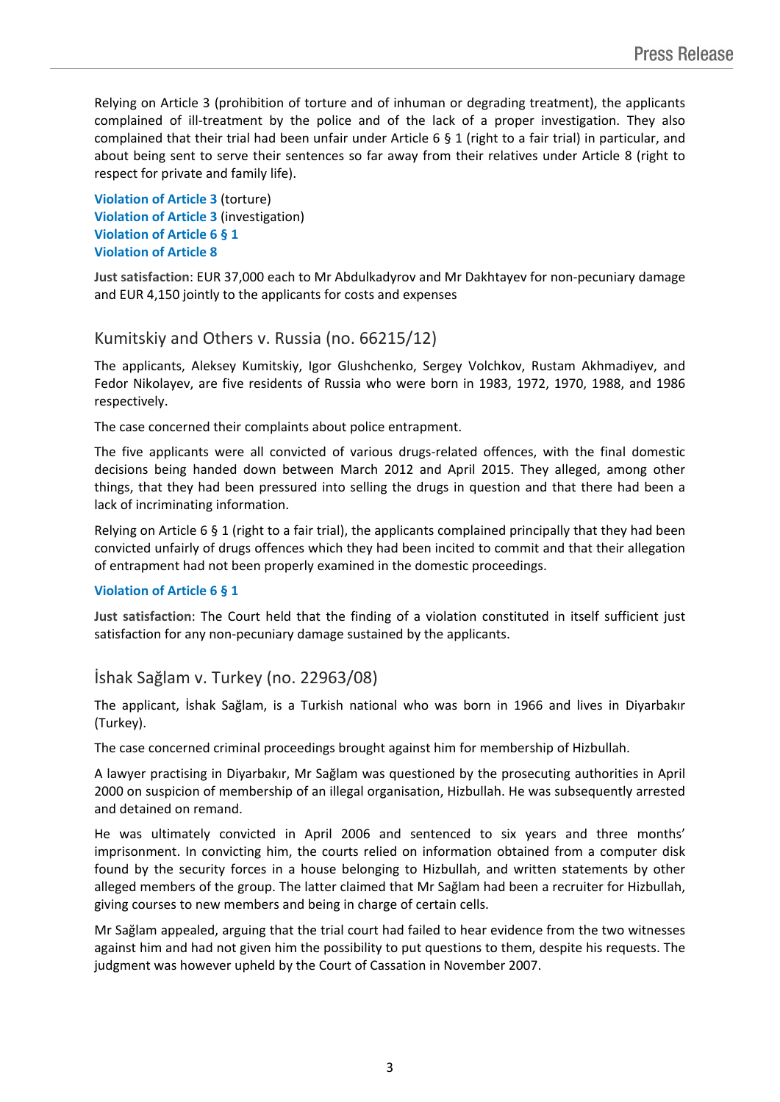Relying on Article 3 (prohibition of torture and of inhuman or degrading treatment), the applicants complained of ill-treatment by the police and of the lack of a proper investigation. They also complained that their trial had been unfair under Article 6 § 1 (right to a fair trial) in particular, and about being sent to serve their sentences so far away from their relatives under Article 8 (right to respect for private and family life).

**Violation of Article 3** (torture) **Violation of Article 3** (investigation) **Violation of Article 6 § 1 Violation of Article 8**

**Just satisfaction**: EUR 37,000 each to Mr Abdulkadyrov and Mr Dakhtayev for non-pecuniary damage and EUR 4,150 jointly to the applicants for costs and expenses

### Kumitskiy and Others v. Russia (no. 66215/12)

The applicants, Aleksey Kumitskiy, Igor Glushchenko, Sergey Volchkov, Rustam Akhmadiyev, and Fedor Nikolayev, are five residents of Russia who were born in 1983, 1972, 1970, 1988, and 1986 respectively.

The case concerned their complaints about police entrapment.

The five applicants were all convicted of various drugs-related offences, with the final domestic decisions being handed down between March 2012 and April 2015. They alleged, among other things, that they had been pressured into selling the drugs in question and that there had been a lack of incriminating information.

Relying on Article 6 § 1 (right to a fair trial), the applicants complained principally that they had been convicted unfairly of drugs offences which they had been incited to commit and that their allegation of entrapment had not been properly examined in the domestic proceedings.

#### **Violation of Article 6 § 1**

**Just satisfaction**: The Court held that the finding of a violation constituted in itself sufficient just satisfaction for any non-pecuniary damage sustained by the applicants.

### İshak Sağlam v. Turkey (no. 22963/08)

The applicant, İshak Sağlam, is a Turkish national who was born in 1966 and lives in Diyarbakır (Turkey).

The case concerned criminal proceedings brought against him for membership of Hizbullah.

A lawyer practising in Diyarbakır, Mr Sağlam was questioned by the prosecuting authorities in April 2000 on suspicion of membership of an illegal organisation, Hizbullah. He was subsequently arrested and detained on remand.

He was ultimately convicted in April 2006 and sentenced to six years and three months' imprisonment. In convicting him, the courts relied on information obtained from a computer disk found by the security forces in a house belonging to Hizbullah, and written statements by other alleged members of the group. The latter claimed that Mr Sağlam had been a recruiter for Hizbullah, giving courses to new members and being in charge of certain cells.

Mr Sağlam appealed, arguing that the trial court had failed to hear evidence from the two witnesses against him and had not given him the possibility to put questions to them, despite his requests. The judgment was however upheld by the Court of Cassation in November 2007.